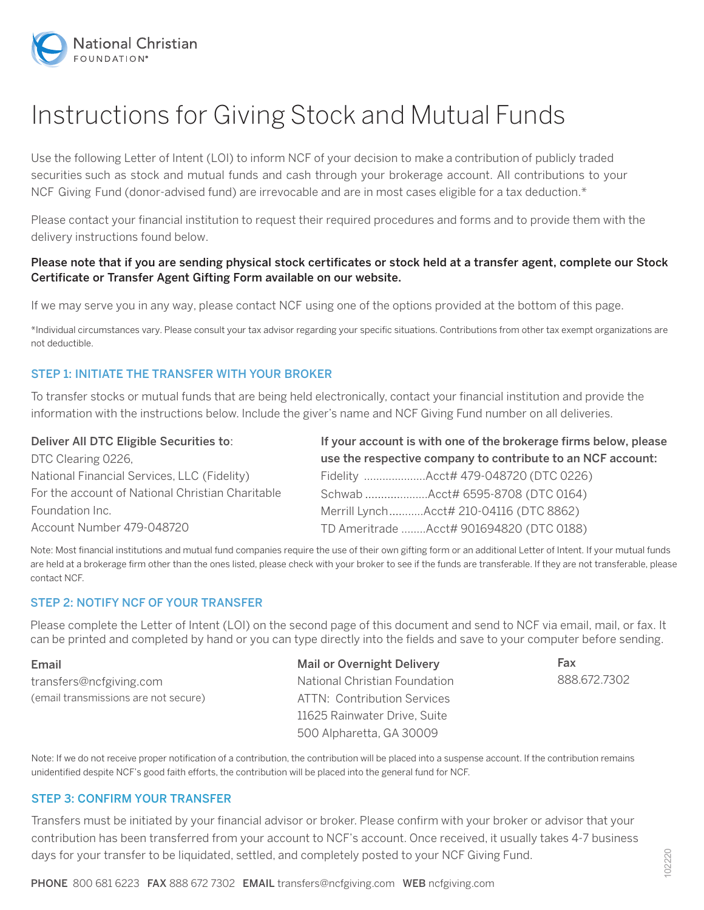

# Instructions for Giving Stock and Mutual Funds

Use the following Letter of Intent (LOI) to inform NCF of your decision to make a contribution of publicly traded securities such as stock and mutual funds and cash through your brokerage account. All contributions to your NCF Giving Fund (donor-advised fund) are irrevocable and are in most cases eligible for a tax deduction.\*

Please contact your financial institution to request their required procedures and forms and to provide them with the delivery instructions found below.

## Please note that if you are sending physical stock certificates or stock held at a transfer agent, complete our Stock Certificate or Transfer Agent Gifting Form available on our website.

If we may serve you in any way, please contact NCF using one of the options provided at the bottom of this page.

\*Individual circumstances vary. Please consult your tax advisor regarding your specific situations. Contributions from other tax exempt organizations are not deductible.

### STEP 1: INITIATE THE TRANSFER WITH YOUR BROKER

To transfer stocks or mutual funds that are being held electronically, contact your financial institution and provide the information with the instructions below. Include the giver's name and NCF Giving Fund number on all deliveries.

| Deliver All DTC Eligible Securities to:          | If your account is with one of the brokerage firms below, please |  |  |
|--------------------------------------------------|------------------------------------------------------------------|--|--|
| DTC Clearing 0226,                               | use the respective company to contribute to an NCF account:      |  |  |
| National Financial Services, LLC (Fidelity)      |                                                                  |  |  |
| For the account of National Christian Charitable |                                                                  |  |  |
| Foundation Inc.                                  | Merrill LynchAcct# 210-04116 (DTC 8862)                          |  |  |
| Account Number 479-048720                        | TD Ameritrade Acct# 901694820 (DTC 0188)                         |  |  |

Note: Most financial institutions and mutual fund companies require the use of their own gifting form or an additional Letter of Intent. If your mutual funds are held at a brokerage firm other than the ones listed, please check with your broker to see if the funds are transferable. If they are not transferable, please contact NCF.

## STEP 2: NOTIFY NCF OF YOUR TRANSFER

Please complete the Letter of Intent (LOI) on the second page of this document and send to NCF via email, mail, or fax. It can be printed and completed by hand or you can type directly into the fields and save to your computer before sending.

| Email                                | <b>Mail or Overnight Delivery</b>  | Fax          |
|--------------------------------------|------------------------------------|--------------|
| transfers@ncfgiving.com              | National Christian Foundation      | 888.672.7302 |
| (email transmissions are not secure) | <b>ATTN: Contribution Services</b> |              |
|                                      | 11625 Rainwater Drive, Suite       |              |
|                                      | 500 Alpharetta, GA 30009           |              |

Note: If we do not receive proper notification of a contribution, the contribution will be placed into a suspense account. If the contribution remains unidentified despite NCF's good faith efforts, the contribution will be placed into the general fund for NCF.

#### STEP 3: CONFIRM YOUR TRANSFER

Transfers must be initiated by your financial advisor or broker. Please confirm with your broker or advisor that your contribution has been transferred from your account to NCF's account. Once received, it usually takes 4-7 business days for your transfer to be liquidated, settled, and completely posted to your NCF Giving Fund.